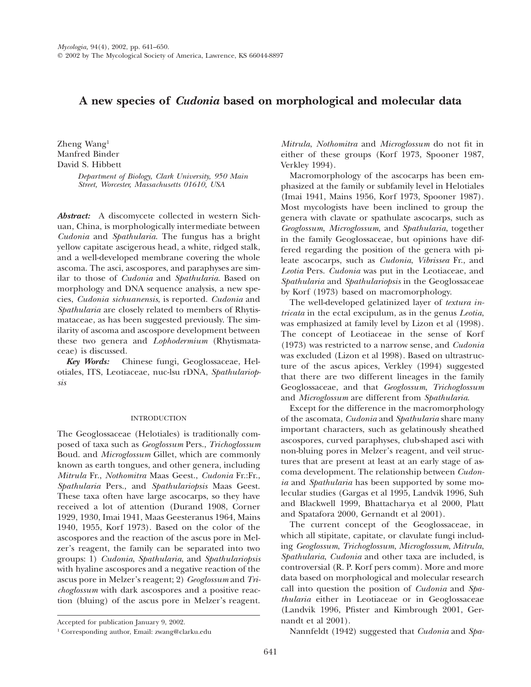# **A new species of** *Cudonia* **based on morphological and molecular data**

Zheng Wang1 Manfred Binder David S. Hibbett

> *Department of Biology, Clark University, 950 Main Street, Worcester, Massachusetts 01610, USA*

*Abstract:* A discomycete collected in western Sichuan, China, is morphologically intermediate between *Cudonia* and *Spathularia*. The fungus has a bright yellow capitate ascigerous head, a white, ridged stalk, and a well-developed membrane covering the whole ascoma. The asci, ascospores, and paraphyses are similar to those of *Cudonia* and *Spathularia*. Based on morphology and DNA sequence analysis, a new species, *Cudonia sichuanensis*, is reported. *Cudonia* and *Spathularia* are closely related to members of Rhytismataceae, as has been suggested previously. The similarity of ascoma and ascospore development between these two genera and *Lophodermium* (Rhytismataceae) is discussed.

*Key Words:* Chinese fungi, Geoglossaceae, Helotiales, ITS, Leotiaceae, nuc-lsu rDNA, *Spathulariopsis*

# INTRODUCTION

The Geoglossaceae (Helotiales) is traditionally composed of taxa such as *Geoglossum* Pers., *Trichoglossum* Boud. and *Microglossum* Gillet, which are commonly known as earth tongues, and other genera, including *Mitrula* Fr., *Nothomitra* Maas Geest., *Cudonia* Fr.:Fr., *Spathularia* Pers., and *Spathulariopsis* Maas Geest. These taxa often have large ascocarps, so they have received a lot of attention (Durand 1908, Corner 1929, 1930, Imai 1941, Maas Geesteranus 1964, Mains 1940, 1955, Korf 1973). Based on the color of the ascospores and the reaction of the ascus pore in Melzer's reagent, the family can be separated into two groups: 1) *Cudonia*, *Spathularia*, and *Spathulariopsis* with hyaline ascospores and a negative reaction of the ascus pore in Melzer's reagent; 2) *Geoglossum* and *Trichoglossum* with dark ascospores and a positive reaction (bluing) of the ascus pore in Melzer's reagent.

*Mitrula*, *Nothomitra* and *Microglossum* do not fit in either of these groups (Korf 1973, Spooner 1987, Verkley 1994).

Macromorphology of the ascocarps has been emphasized at the family or subfamily level in Helotiales (Imai 1941, Mains 1956, Korf 1973, Spooner 1987). Most mycologists have been inclined to group the genera with clavate or spathulate ascocarps, such as *Geoglossum*, *Microglossum*, and *Spathularia*, together in the family Geoglossaceae, but opinions have differed regarding the position of the genera with pileate ascocarps, such as *Cudonia*, *Vibrissea* Fr., and *Leotia* Pers. *Cudonia* was put in the Leotiaceae, and *Spathularia* and *Spathulariopsis* in the Geoglossaceae by Korf (1973) based on macromorphology.

The well-developed gelatinized layer of *textura intricata* in the ectal excipulum, as in the genus *Leotia*, was emphasized at family level by Lizon et al (1998). The concept of Leotiaceae in the sense of Korf (1973) was restricted to a narrow sense, and *Cudonia* was excluded (Lizon et al 1998). Based on ultrastructure of the ascus apices, Verkley (1994) suggested that there are two different lineages in the family Geoglossaceae, and that *Geoglossum*, *Trichoglossum* and *Microglossum* are different from *Spathularia*.

Except for the difference in the macromorphology of the ascomata, *Cudonia* and *Spathularia* share many important characters, such as gelatinously sheathed ascospores, curved paraphyses, club-shaped asci with non-bluing pores in Melzer's reagent, and veil structures that are present at least at an early stage of ascoma development. The relationship between *Cudonia* and *Spathularia* has been supported by some molecular studies (Gargas et al 1995, Landvik 1996, Suh and Blackwell 1999, Bhattacharya et al 2000, Platt and Spatafora 2000, Gernandt et al 2001).

The current concept of the Geoglossaceae, in which all stipitate, capitate, or clavulate fungi including *Geoglossum*, *Trichoglossum*, *Microglossum*, *Mitrula*, *Spathularia*, *Cudonia* and other taxa are included, is controversial (R. P. Korf pers comm). More and more data based on morphological and molecular research call into question the position of *Cudonia* and *Spathularia* either in Leotiaceae or in Geoglossaceae (Landvik 1996, Pfister and Kimbrough 2001, Gernandt et al 2001).

Nannfeldt (1942) suggested that *Cudonia* and *Spa-*

Accepted for publication January 9, 2002.

<sup>1</sup> Corresponding author, Email: zwang@clarku.edu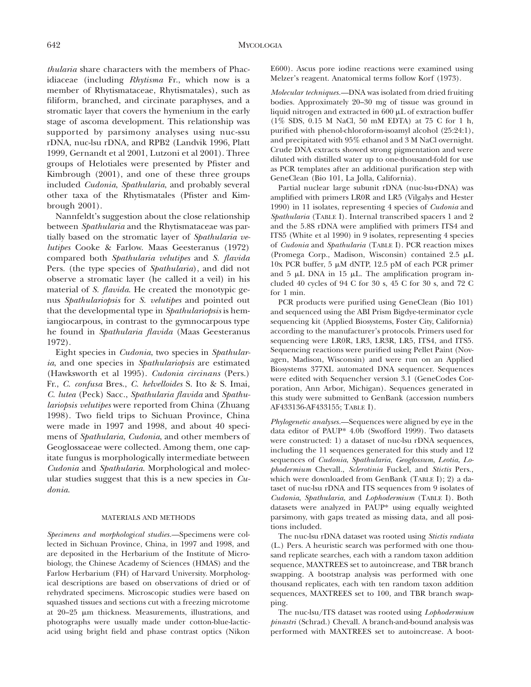*thularia* share characters with the members of Phacidiaceae (including *Rhytisma* Fr., which now is a member of Rhytismataceae, Rhytismatales), such as filiform, branched, and circinate paraphyses, and a stromatic layer that covers the hymenium in the early stage of ascoma development. This relationship was supported by parsimony analyses using nuc-ssu rDNA, nuc-lsu rDNA, and RPB2 (Landvik 1996, Platt 1999, Gernandt et al 2001, Lutzoni et al 2001). Three groups of Helotiales were presented by Pfister and Kimbrough (2001), and one of these three groups included *Cudonia*, *Spathularia*, and probably several other taxa of the Rhytismatales (Pfister and Kimbrough 2001).

Nannfeldt's suggestion about the close relationship between *Spathularia* and the Rhytismataceae was partially based on the stromatic layer of *Spathularia velutipes* Cooke & Farlow. Maas Geesteranus (1972) compared both *Spathularia velutipes* and *S. flavida* Pers. (the type species of *Spathularia*), and did not observe a stromatic layer (he called it a veil) in his material of *S. flavida*. He created the monotypic genus *Spathulariopsis* for *S. velutipes* and pointed out that the developmental type in *Spathulariopsis* is hemiangiocarpous, in contrast to the gymnocarpous type he found in *Spathularia flavida* (Maas Geesteranus 1972).

Eight species in *Cudonia*, two species in *Spathularia*, and one species in *Spathulariopsis* are estimated (Hawksworth et al 1995). *Cudonia circinans* (Pers.) Fr., *C. confusa* Bres., *C. helvelloides* S. Ito & S. Imai, *C. lutea* (Peck) Sacc., *Spathularia flavida* and *Spathulariopsis velutipes* were reported from China (Zhuang 1998). Two field trips to Sichuan Province, China were made in 1997 and 1998, and about 40 specimens of *Spathularia*, *Cudonia*, and other members of Geoglossaceae were collected. Among them, one capitate fungus is morphologically intermediate between *Cudonia* and *Spathularia*. Morphological and molecular studies suggest that this is a new species in *Cudonia*.

# MATERIALS AND METHODS

*Specimens and morphological studies.* Specimens were collected in Sichuan Province, China, in 1997 and 1998, and are deposited in the Herbarium of the Institute of Microbiology, the Chinese Academy of Sciences (HMAS) and the Farlow Herbarium (FH) of Harvard University. Morphological descriptions are based on observations of dried or of rehydrated specimens. Microscopic studies were based on squashed tissues and sections cut with a freezing microtome at 20–25 mm thickness. Measurements, illustrations, and photographs were usually made under cotton-blue-lacticacid using bright field and phase contrast optics (Nikon

E600). Ascus pore iodine reactions were examined using Melzer's reagent. Anatomical terms follow Korf (1973).

*Molecular techniques.* - DNA was isolated from dried fruiting bodies. Approximately 20–30 mg of tissue was ground in liquid nitrogen and extracted in  $600 \mu L$  of extraction buffer (1% SDS, 0.15 M NaCl, 50 mM EDTA) at 75 C for 1 h, purified with phenol-chloroform-isoamyl alcohol (25:24:1), and precipitated with 95% ethanol and 3 M NaCl overnight. Crude DNA extracts showed strong pigmentation and were diluted with distilled water up to one-thousand-fold for use as PCR templates after an additional purification step with GeneClean (Bio 101, La Jolla, California).

Partial nuclear large subunit rDNA (nuc-lsu-rDNA) was amplified with primers LR0R and LR5 (Vilgalys and Hester 1990) in 11 isolates, representing 4 species of *Cudonia* and *Spathularia* (TABLE I). Internal transcribed spacers 1 and 2 and the 5.8S rDNA were amplified with primers ITS4 and ITS5 (White et al 1990) in 9 isolates, representing 4 species of *Cudonia* and *Spathularia* (TABLE I). PCR reaction mixes (Promega Corp., Madison, Wisconsin) contained 2.5 mL 10x PCR buffer, 5  $\mu$ M dNTP, 12.5 pM of each PCR primer and  $5 \mu L$  DNA in 15  $\mu L$ . The amplification program included 40 cycles of 94 C for 30 s, 45 C for 30 s, and 72 C for 1 min.

PCR products were purified using GeneClean (Bio 101) and sequenced using the ABI Prism Bigdye-terminator cycle sequencing kit (Applied Biosystems, Foster City, California) according to the manufacturer's protocols. Primers used for sequencing were LR0R, LR3, LR3R, LR5, ITS4, and ITS5. Sequencing reactions were purified using Pellet Paint (Novagen, Madison, Wisconsin) and were run on an Applied Biosystems 377XL automated DNA sequencer. Sequences were edited with Sequencher version 3.1 (GeneCodes Corporation, Ann Arbor, Michigan). Sequences generated in this study were submitted to GenBank (accession numbers AF433136-AF433155; TABLE I).

Phylogenetic analyses.-Sequences were aligned by eye in the data editor of PAUP\* 4.0b (Swofford 1999). Two datasets were constructed: 1) a dataset of nuc-lsu rDNA sequences, including the 11 sequences generated for this study and 12 sequences of *Cudonia*, *Spathularia*, *Geoglossum*, *Leotia*, *Lophodermium* Chevall., *Sclerotinia* Fuckel, and *Stictis* Pers., which were downloaded from GenBank (TABLE I); 2) a dataset of nuc-lsu rDNA and ITS sequences from 9 isolates of *Cudonia*, *Spathularia*, and *Lophodermium* (TABLE I). Both datasets were analyzed in PAUP\* using equally weighted parsimony, with gaps treated as missing data, and all positions included.

The nuc-lsu rDNA dataset was rooted using *Stictis radiata* (L.) Pers. A heuristic search was performed with one thousand replicate searches, each with a random taxon addition sequence, MAXTREES set to autoincrease, and TBR branch swapping. A bootstrap analysis was performed with one thousand replicates, each with ten random taxon addition sequences, MAXTREES set to 100, and TBR branch swapping.

The nuc-lsu/ITS dataset was rooted using *Lophodermium pinastri* (Schrad.) Chevall. A branch-and-bound analysis was performed with MAXTREES set to autoincrease. A boot-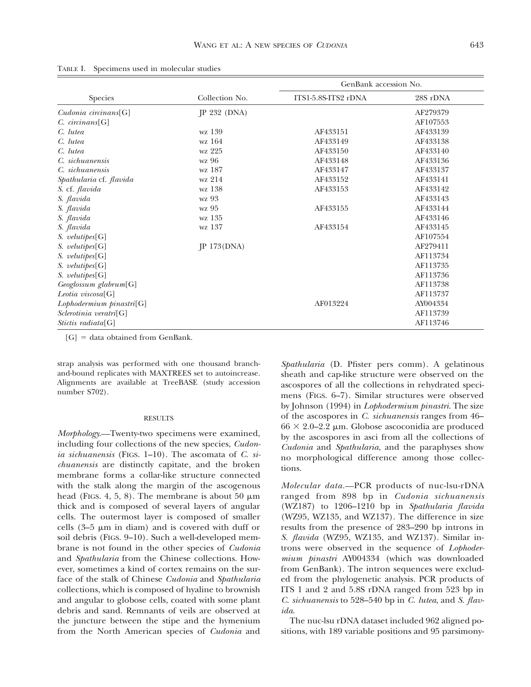|                          |                | GenBank accession No. |          |  |
|--------------------------|----------------|-----------------------|----------|--|
| <b>Species</b>           | Collection No. | ITS1-5.8S-ITS2 rDNA   | 28S rDNA |  |
| Cudonia circinans[G]     | IP 232 (DNA)   |                       | AF279379 |  |
| $C.$ circinans $[G]$     |                |                       | AF107553 |  |
| C. lutea                 | wz 139         | AF433151              | AF433139 |  |
| C. lutea                 | wz 164         | AF433149              | AF433138 |  |
| C. lutea                 | wz 225         | AF433150              | AF433140 |  |
| C. sichuanensis          | wz 96          | AF433148              | AF433136 |  |
| C. sichuanensis          | wz 187         | AF433147              | AF433137 |  |
| Spathularia cf. flavida  | wz 214         | AF433152              | AF433141 |  |
| S. cf. flavida           | wz 138         | AF433153              | AF433142 |  |
| S. flavida               | wz 93          |                       | AF433143 |  |
| S. flavida               | wz 95          | AF433155              | AF433144 |  |
| S. flavida               | wz 135         |                       | AF433146 |  |
| S. flavida               | wz 137         | AF433154              | AF433145 |  |
| S. velutipes[G]          |                |                       | AF107554 |  |
| S. velutipes[G]          | IP 173(DNA)    |                       | AF279411 |  |
| S. velutipes[G]          |                |                       | AF113734 |  |
| S. velutipes[G]          |                |                       | AF113735 |  |
| S. velutipes[G]          |                |                       | AF113736 |  |
| Geoglossum glabrum[G]    |                |                       | AF113738 |  |
| Leotia viscosa[G]        |                |                       | AF113737 |  |
| Lophodermium pinastri[G] |                | AF013224              | AY004334 |  |
| Sclerotinia veratri[G]   |                |                       | AF113739 |  |
| Stictis radiata[G]       |                |                       | AF113746 |  |

TABLE I. Specimens used in molecular studies

 $[G] =$  data obtained from GenBank.

strap analysis was performed with one thousand branchand-bound replicates with MAXTREES set to autoincrease. Alignments are available at TreeBASE (study accession number S702).

### RESULTS

*Morphology.* Twenty-two specimens were examined, including four collections of the new species, *Cudonia sichuanensis* (FIGS. 1–10). The ascomata of *C. sichuanensis* are distinctly capitate, and the broken membrane forms a collar-like structure connected with the stalk along the margin of the ascogenous head (FIGS. 4, 5, 8). The membrane is about 50  $\mu$ m thick and is composed of several layers of angular cells. The outermost layer is composed of smaller cells  $(3-5 \mu m)$  in diam) and is covered with duff or soil debris (FIGS. 9–10). Such a well-developed membrane is not found in the other species of *Cudonia* and *Spathularia* from the Chinese collections. However, sometimes a kind of cortex remains on the surface of the stalk of Chinese *Cudonia* and *Spathularia* collections, which is composed of hyaline to brownish and angular to globose cells, coated with some plant debris and sand. Remnants of veils are observed at the juncture between the stipe and the hymenium from the North American species of *Cudonia* and

*Spathularia* (D. Pfister pers comm). A gelatinous sheath and cap-like structure were observed on the ascospores of all the collections in rehydrated specimens (FIGS. 6–7). Similar structures were observed by Johnson (1994) in *Lophodermium pinastri*. The size of the ascospores in *C. sichuanensis* ranges from 46–  $66 \times 2.0$ –2.2 µm. Globose ascoconidia are produced by the ascospores in asci from all the collections of *Cudonia* and *Spathularia*, and the paraphyses show no morphological difference among those collections.

*Molecular data.*-PCR products of nuc-lsu-rDNA ranged from 898 bp in *Cudonia sichuanensis* (WZ187) to 1206–1210 bp in *Spathularia flavida* (WZ95, WZ135, and WZ137). The difference in size results from the presence of 283–290 bp introns in *S. flavida* (WZ95, WZ135, and WZ137). Similar introns were observed in the sequence of *Lophodermium pinastri* AY004334 (which was downloaded from GenBank). The intron sequences were excluded from the phylogenetic analysis. PCR products of ITS 1 and 2 and 5.8S rDNA ranged from 523 bp in *C. sichuanensis* to 528–540 bp in *C. lutea*, and *S. flavida*.

The nuc-lsu rDNA dataset included 962 aligned positions, with 189 variable positions and 95 parsimony-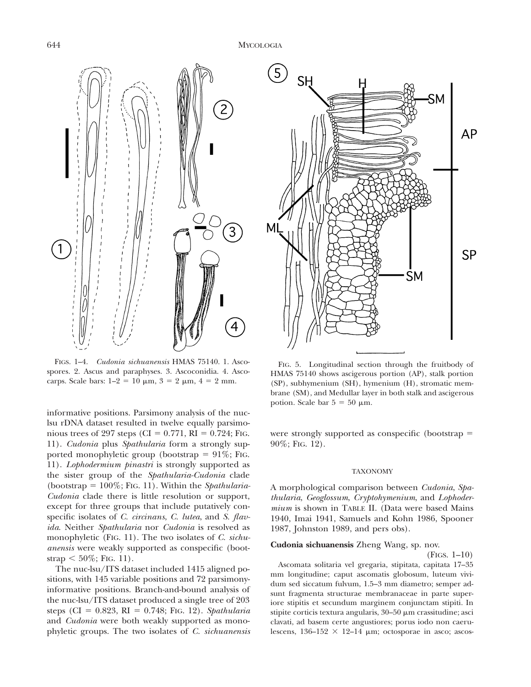

FIGS. 1–4. *Cudonia sichuanensis* HMAS 75140. 1. Ascospores. 2. Ascus and paraphyses. 3. Ascoconidia. 4. Ascocarps. Scale bars:  $1-2 = 10 \mu m$ ,  $3 = 2 \mu m$ ,  $4 = 2 \mu m$ .

informative positions. Parsimony analysis of the nuclsu rDNA dataset resulted in twelve equally parsimonious trees of 297 steps (CI =  $0.771$ , RI =  $0.724$ ; FIG. 11). *Cudonia* plus *Spathularia* form a strongly supported monophyletic group (bootstrap  $= 91\%$ ; FIG. 11). *Lophodermium pinastri* is strongly supported as the sister group of the *Spathularia-Cudonia* clade (bootstrap 5 100%; FIG. 11). Within the *Spathularia-Cudonia* clade there is little resolution or support, except for three groups that include putatively conspecific isolates of *C. circinans*, *C. lutea*, and *S. flavida*. Neither *Spathularia* nor *Cudonia* is resolved as monophyletic (FIG. 11). The two isolates of *C. sichuanensis* were weakly supported as conspecific (bootstrap  $< 50\%$ ; FIG. 11).

The nuc-lsu/ITS dataset included 1415 aligned positions, with 145 variable positions and 72 parsimonyinformative positions. Branch-and-bound analysis of the nuc-lsu/ITS dataset produced a single tree of 203 steps (CI =  $0.823$ , RI =  $0.748$ ; FIG. 12). *Spathularia* and *Cudonia* were both weakly supported as monophyletic groups. The two isolates of *C. sichuanensis*



FIG. 5. Longitudinal section through the fruitbody of HMAS 75140 shows ascigerous portion (AP), stalk portion (SP), subhymenium (SH), hymenium (H), stromatic membrane (SM), and Medullar layer in both stalk and ascigerous potion. Scale bar  $5 = 50 \mu m$ .

were strongly supported as conspecific (bootstrap  $=$ 90%; FIG. 12).

## TAXONOMY

A morphological comparison between *Cudonia*, *Spathularia*, *Geoglossum*, *Cryptohymenium*, and *Lophodermium* is shown in TABLE II. (Data were based Mains 1940, Imai 1941, Samuels and Kohn 1986, Spooner 1987, Johnston 1989, and pers obs).

# **Cudonia sichuanensis** Zheng Wang, sp. nov.

(FIGS. 1–10)

Ascomata solitaria vel gregaria, stipitata, capitata 17–35 mm longitudine; caput ascomatis globosum, luteum vividum sed siccatum fulvum, 1.5–3 mm diametro; semper adsunt fragmenta structurae membranaceae in parte superiore stipitis et secundum marginem conjunctam stipiti. In stipite corticis textura angularis,  $30-50 \mu m$  crassitudine; asci clavati, ad basem certe angustiores; porus iodo non caerulescens,  $136-152 \times 12-14$  µm; octosporae in asco; ascos-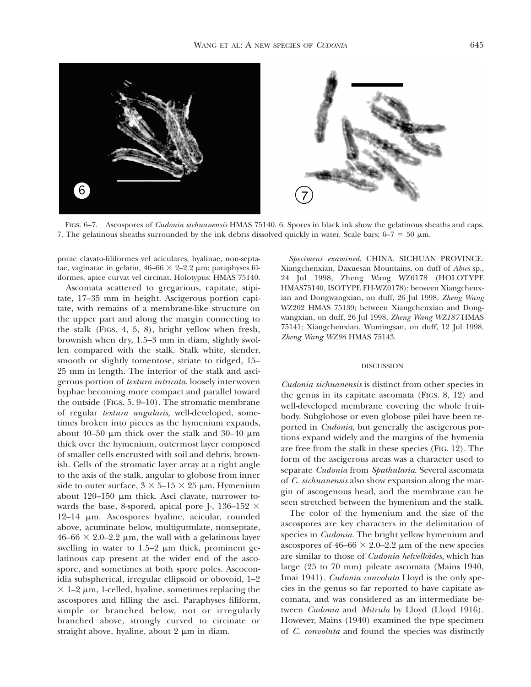

FIGS. 6–7. Ascospores of *Cudonia sichuanensis* HMAS 75140. 6. Spores in black ink show the gelatinous sheaths and caps. 7. The gelatinous sheaths surrounded by the ink debris dissolved quickly in water. Scale bars:  $6-7 = 50 \mu m$ .

porae clavato-filiformes vel aciculares, hyalinae, non-septatae, vaginatae in gelatin,  $46-66 \times 2-2.2 \mu m$ ; paraphyses filiformes, apice curvat vel circinat. Holotypus: HMAS 75140.

Ascomata scattered to gregarious, capitate, stipitate, 17–35 mm in height. Ascigerous portion capitate, with remains of a membrane-like structure on the upper part and along the margin connecting to the stalk (FIGS. 4, 5, 8), bright yellow when fresh, brownish when dry, 1.5–3 mm in diam, slightly swollen compared with the stalk. Stalk white, slender, smooth or slightly tomentose, striate to ridged, 15– 25 mm in length. The interior of the stalk and ascigerous portion of *textura intricata*, loosely interwoven hyphae becoming more compact and parallel toward the outside (FIGS. 5, 9–10). The stromatic membrane of regular *textura angularis*, well-developed, sometimes broken into pieces as the hymenium expands, about 40–50  $\mu$ m thick over the stalk and 30–40  $\mu$ m thick over the hymenium, outermost layer composed of smaller cells encrusted with soil and debris, brownish. Cells of the stromatic layer array at a right angle to the axis of the stalk, angular to globose from inner side to outer surface,  $3 \times 5$ – $15 \times 25$  µm. Hymenium about  $120-150$  µm thick. Asci clavate, narrower towards the base, 8-spored, apical pore J-, 136-152  $\times$ 12–14 mm. Ascospores hyaline, acicular, rounded above, acuminate below, multiguttulate, nonseptate,  $46-66 \times 2.0-2.2 \mu m$ , the wall with a gelatinous layer swelling in water to  $1.5-2 \mu m$  thick, prominent gelatinous cap present at the wider end of the ascospore, and sometimes at both spore poles. Ascoconidia subspherical, irregular ellipsoid or obovoid, 1–2  $\times$  1–2  $\mu$ m, 1-celled, hyaline, sometimes replacing the ascospores and filling the asci. Paraphyses filiform, simple or branched below, not or irregularly branched above, strongly curved to circinate or straight above, hyaline, about  $2 \mu m$  in diam.

*Specimens examined*. CHINA. SICHUAN PROVINCE: Xiangchenxian, Daxuesan Mountains, on duff of *Abies* sp., 24 Jul 1998, Zheng Wang WZ0178 (HOLOTYPE HMAS75140, ISOTY PE FH-WZ0178); between Xiangchenxian and Dongwangxian, on duff, 26 Jul 1998, *Zheng Wang* WZ202 HMAS 75139; between Xiangchenxian and Dongwangxian, on duff, 26 Jul 1998, *Zheng Wang WZ187* HMAS 75141; Xiangchenxian, Wumingsan, on duff, 12 Jul 1998, *Zheng Wang WZ96* HMAS 75143.

### DISCUSSION

*Cudonia sichuanensis* is distinct from other species in the genus in its capitate ascomata (FIGS. 8, 12) and well-developed membrane covering the whole fruitbody. Subglobose or even globose pilei have been reported in *Cudonia*, but generally the ascigerous portions expand widely and the margins of the hymenia are free from the stalk in these species (FIG. 12). The form of the ascigerous areas was a character used to separate *Cudonia* from *Spathularia*. Several ascomata of *C. sichuanensis* also show expansion along the margin of ascogenous head, and the membrane can be seen stretched between the hymenium and the stalk.

The color of the hymenium and the size of the ascospores are key characters in the delimitation of species in *Cudonia*. The bright yellow hymenium and ascospores of  $46-66 \times 2.0-2.2 \mu m$  of the new species are similar to those of *Cudonia helvelloides*, which has large (25 to 70 mm) pileate ascomata (Mains 1940, Imai 1941). *Cudonia convoluta* Lloyd is the only species in the genus so far reported to have capitate ascomata, and was considered as an intermediate between *Cudonia* and *Mitrula* by Lloyd (Lloyd 1916). However, Mains (1940) examined the type specimen of *C. convoluta* and found the species was distinctly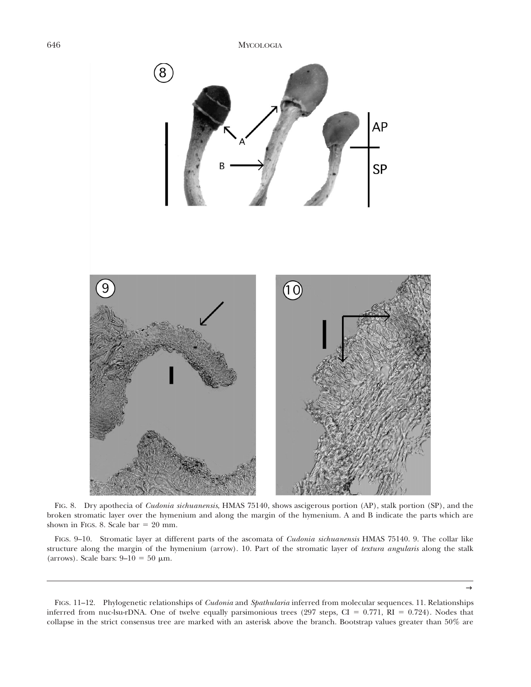

FIG. 8. Dry apothecia of *Cudonia sichuanensis*, HMAS 75140, shows ascigerous portion (AP), stalk portion (SP), and the broken stromatic layer over the hymenium and along the margin of the hymenium. A and B indicate the parts which are shown in FIGS. 8. Scale bar  $= 20$  mm.

FIGS. 9–10. Stromatic layer at different parts of the ascomata of *Cudonia sichuanensis* HMAS 75140. 9. The collar like structure along the margin of the hymenium (arrow). 10. Part of the stromatic layer of *textura angularis* along the stalk (arrows). Scale bars:  $9-10 = 50 \mu m$ .

FIGS. 11–12. Phylogenetic relationships of *Cudonia* and *Spathularia* inferred from molecular sequences. 11. Relationships inferred from nuc-lsu-rDNA. One of twelve equally parsimonious trees (297 steps, CI =  $0.771$ , RI =  $0.724$ ). Nodes that collapse in the strict consensus tree are marked with an asterisk above the branch. Bootstrap values greater than 50% are

 $\rightarrow$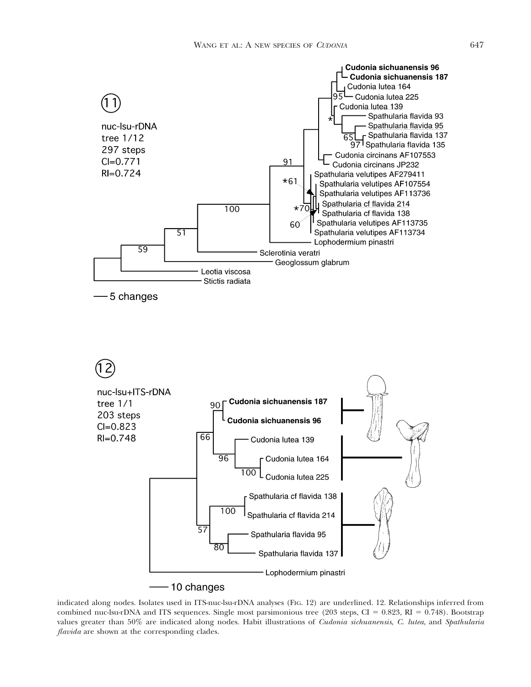

indicated along nodes. Isolates used in ITS-nuc-lsu-rDNA analyses (FIG. 12) are underlined. 12. Relationships inferred from combined nuc-lsu-rDNA and ITS sequences. Single most parsimonious tree (203 steps, CI =  $0.823$ , RI =  $0.748$ ). Bootstrap values greater than 50% are indicated along nodes. Habit illustrations of *Cudonia sichuanensis*, *C. lutea*, and *Spathularia flavida* are shown at the corresponding clades.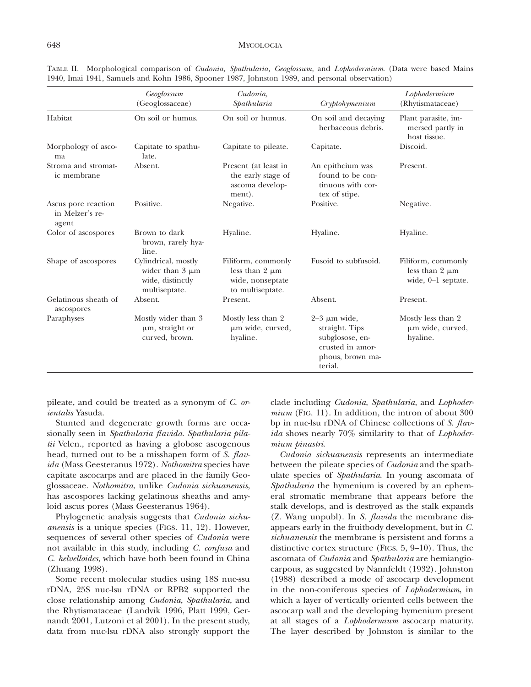# 648 MYCOLOGIA

| 1940, Imal 1941, Samuels and Konn 1980, Spooner 1987, Johnston 1989, and personal observation) |                                                                                  |                                                                                   |                                                                                                           |                                                                   |  |
|------------------------------------------------------------------------------------------------|----------------------------------------------------------------------------------|-----------------------------------------------------------------------------------|-----------------------------------------------------------------------------------------------------------|-------------------------------------------------------------------|--|
|                                                                                                | Geoglossum<br>(Geoglossaceae)                                                    | Cudonia,<br>Spathularia                                                           | Cryptohymenium                                                                                            | Lophodermium<br>(Rhytismataceae)                                  |  |
| Habitat                                                                                        | On soil or humus.                                                                | On soil or humus.                                                                 | On soil and decaying<br>herbaceous debris.                                                                | Plant parasite, im-<br>mersed partly in<br>host tissue.           |  |
| Morphology of asco-<br>ma                                                                      | Capitate to spathu-<br>late.                                                     | Capitate to pileate.                                                              | Capitate.                                                                                                 | Discoid.                                                          |  |
| Stroma and stromat-<br>ic membrane                                                             | Absent.                                                                          | Present (at least in<br>the early stage of<br>ascoma develop-<br>ment).           | An epithcium was<br>found to be con-<br>tinuous with cor-<br>tex of stipe.                                | Present.                                                          |  |
| Ascus pore reaction<br>in Melzer's re-<br>agent                                                | Positive.                                                                        | Negative.                                                                         | Positive.                                                                                                 | Negative.                                                         |  |
| Color of ascospores                                                                            | Brown to dark<br>brown, rarely hya-<br>line.                                     | Hyaline.                                                                          | Hyaline.                                                                                                  | Hyaline.                                                          |  |
| Shape of ascospores                                                                            | Cylindrical, mostly<br>wider than $3 \mu m$<br>wide, distinctly<br>multiseptate. | Filiform, commonly<br>less than $2 \mu m$<br>wide, nonseptate<br>to multiseptate. | Fusoid to subfusoid.                                                                                      | Filiform, commonly<br>less than $2 \mu m$<br>wide, $0-1$ septate. |  |
| Gelatinous sheath of<br>ascospores                                                             | Absent.                                                                          | Present.                                                                          | Absent.                                                                                                   | Present.                                                          |  |
| Paraphyses                                                                                     | Mostly wider than 3<br>μm, straight or<br>curved, brown.                         | Mostly less than 2<br>μm wide, curved,<br>hyaline.                                | $2-3 \mu m$ wide,<br>straight. Tips<br>subglosose, en-<br>crusted in amor-<br>phous, brown ma-<br>terial. | Mostly less than 2<br>μm wide, curved,<br>hyaline.                |  |

TABLE II. Morphological comparison of *Cudonia, Spathularia, Geoglossum,* and *Lophodermium*. (Data were based Mains 1940, Imai 1941, Samuels and Kohn 1986, Spooner 1987, Johnston 1989, and personal observation)

pileate, and could be treated as a synonym of *C. orientalis* Yasuda.

Stunted and degenerate growth forms are occasionally seen in *Spathularia flavida*. *Spathularia pilatii* Velen., reported as having a globose ascogenous head, turned out to be a misshapen form of *S. flavida* (Mass Geesteranus 1972). *Nothomitra* species have capitate ascocarps and are placed in the family Geoglossaceae. *Nothomitra*, unlike *Cudonia sichuanensis*, has ascospores lacking gelatinous sheaths and amyloid ascus pores (Mass Geesteranus 1964).

Phylogenetic analysis suggests that *Cudonia sichuanensis* is a unique species (FIGS. 11, 12). However, sequences of several other species of *Cudonia* were not available in this study, including *C. confusa* and *C. helvelloides*, which have both been found in China (Zhuang 1998).

Some recent molecular studies using 18S nuc-ssu rDNA, 25S nuc-lsu rDNA or RPB2 supported the close relationship among *Cudonia*, *Spathularia*, and the Rhytismataceae (Landvik 1996, Platt 1999, Gernandt 2001, Lutzoni et al 2001). In the present study, data from nuc-lsu rDNA also strongly support the

clade including *Cudonia*, *Spathularia*, and *Lophodermium* (FIG. 11). In addition, the intron of about 300 bp in nuc-lsu rDNA of Chinese collections of *S. flavida* shows nearly 70% similarity to that of *Lophodermium pinastri*.

*Cudonia sichuanensis* represents an intermediate between the pileate species of *Cudonia* and the spathulate species of *Spathularia*. In young ascomata of *Spathularia* the hymenium is covered by an ephemeral stromatic membrane that appears before the stalk develops, and is destroyed as the stalk expands (Z. Wang unpubl). In *S. flavida* the membrane disappears early in the fruitbody development, but in *C. sichuanensis* the membrane is persistent and forms a distinctive cortex structure (FIGS. 5, 9–10). Thus, the ascomata of *Cudonia* and *Spathularia* are hemiangiocarpous, as suggested by Nannfeldt (1932). Johnston (1988) described a mode of ascocarp development in the non-coniferous species of *Lophodermium*, in which a layer of vertically oriented cells between the ascocarp wall and the developing hymenium present at all stages of a *Lophodermium* ascocarp maturity. The layer described by Johnston is similar to the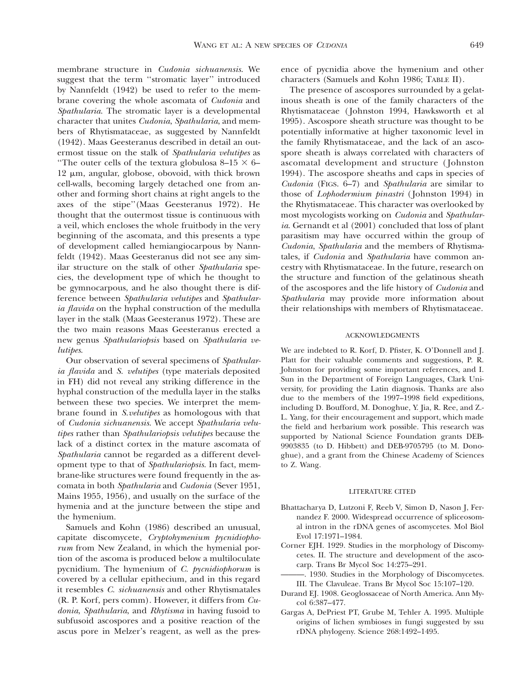membrane structure in *Cudonia sichuanensis*. We suggest that the term ''stromatic layer'' introduced by Nannfeldt (1942) be used to refer to the membrane covering the whole ascomata of *Cudonia* and *Spathularia*. The stromatic layer is a developmental character that unites *Cudonia*, *Spathularia*, and members of Rhytismataceae, as suggested by Nannfeldt (1942). Maas Geesteranus described in detail an outermost tissue on the stalk of *Spathularia velutipes* as "The outer cells of the textura globulosa 8–15  $\times$  6– 12 µm, angular, globose, obovoid, with thick brown cell-walls, becoming largely detached one from another and forming short chains at right angels to the axes of the stipe''(Maas Geesteranus 1972). He thought that the outermost tissue is continuous with a veil, which encloses the whole fruitbody in the very beginning of the ascomata, and this presents a type of development called hemiangiocarpous by Nannfeldt (1942). Maas Geesteranus did not see any similar structure on the stalk of other *Spathularia* species, the development type of which he thought to be gymnocarpous, and he also thought there is difference between *Spathularia velutipes* and *Spathularia flavida* on the hyphal construction of the medulla layer in the stalk (Maas Geesteranus 1972). These are the two main reasons Maas Geesteranus erected a new genus *Spathulariopsis* based on *Spathularia velutipes*.

Our observation of several specimens of *Spathularia flavida* and *S. velutipes* (type materials deposited in FH) did not reveal any striking difference in the hyphal construction of the medulla layer in the stalks between these two species. We interpret the membrane found in *S.velutipes* as homologous with that of *Cudonia sichuanensis*. We accept *Spathularia velutipes* rather than *Spathulariopsis velutipes* because the lack of a distinct cortex in the mature ascomata of *Spathularia* cannot be regarded as a different development type to that of *Spathulariopsis*. In fact, membrane-like structures were found frequently in the ascomata in both *Spathularia* and *Cudonia* (Sever 1951, Mains 1955, 1956), and usually on the surface of the hymenia and at the juncture between the stipe and the hymenium.

Samuels and Kohn (1986) described an unusual, capitate discomycete, *Cryptohymenium pycnidiophorum* from New Zealand, in which the hymenial portion of the ascoma is produced below a multiloculate pycnidium. The hymenium of *C. pycnidiophorum* is covered by a cellular epithecium, and in this regard it resembles *C. sichuanensis* and other Rhytismatales (R. P. Korf, pers comm). However, it differs from *Cudonia*, *Spathularia*, and *Rhytisma* in having fusoid to subfusoid ascospores and a positive reaction of the ascus pore in Melzer's reagent, as well as the presence of pycnidia above the hymenium and other characters (Samuels and Kohn 1986; TABLE II).

The presence of ascospores surrounded by a gelatinous sheath is one of the family characters of the Rhytismataceae ( Johnston 1994, Hawksworth et al 1995). Ascospore sheath structure was thought to be potentially informative at higher taxonomic level in the family Rhytismataceae, and the lack of an ascospore sheath is always correlated with characters of ascomatal development and structure ( Johnston 1994). The ascospore sheaths and caps in species of *Cudonia* (FIGS. 6–7) and *Spathularia* are similar to those of *Lophodermium pinastri* ( Johnston 1994) in the Rhytismataceae. This character was overlooked by most mycologists working on *Cudonia* and *Spathularia*. Gernandt et al (2001) concluded that loss of plant parasitism may have occurred within the group of *Cudonia*, *Spathularia* and the members of Rhytismatales, if *Cudonia* and *Spathularia* have common ancestry with Rhytismataceae. In the future, research on the structure and function of the gelatinous sheath of the ascospores and the life history of *Cudonia* and *Spathularia* may provide more information about their relationships with members of Rhytismataceae.

## ACKNOWLEDGMENTS

We are indebted to R. Korf, D. Pfister, K. O'Donnell and J. Platt for their valuable comments and suggestions, P. R. Johnston for providing some important references, and I. Sun in the Department of Foreign Languages, Clark University, for providing the Latin diagnosis. Thanks are also due to the members of the 1997–1998 field expeditions, including D. Boufford, M. Donoghue, Y. Jia, R. Ree, and Z.- L. Yang, for their encouragement and support, which made the field and herbarium work possible. This research was supported by National Science Foundation grants DEB-9903835 (to D. Hibbett) and DEB-9705795 (to M. Donoghue), and a grant from the Chinese Academy of Sciences to Z. Wang.

### LITERATURE CITED

- Bhattacharya D, Lutzoni F, Reeb V, Simon D, Nason J, Fernandez F. 2000. Widespread occurrence of spliceosomal intron in the rDNA genes of ascomycetes. Mol Biol Evol 17:1971–1984.
- Corner EJH. 1929. Studies in the morphology of Discomycetes. II. The structure and development of the ascocarp. Trans Br Mycol Soc 14:275–291.
	- ———. 1930. Studies in the Morphology of Discomycetes. III. The Clavuleae. Trans Br Mycol Soc 15:107–120.
- Durand EJ. 1908. Geoglossaceae of North America. Ann Mycol 6:387–477.
- Gargas A, DePriest PT, Grube M, Tehler A. 1995. Multiple origins of lichen symbioses in fungi suggested by ssu rDNA phylogeny. Science 268:1492–1495.